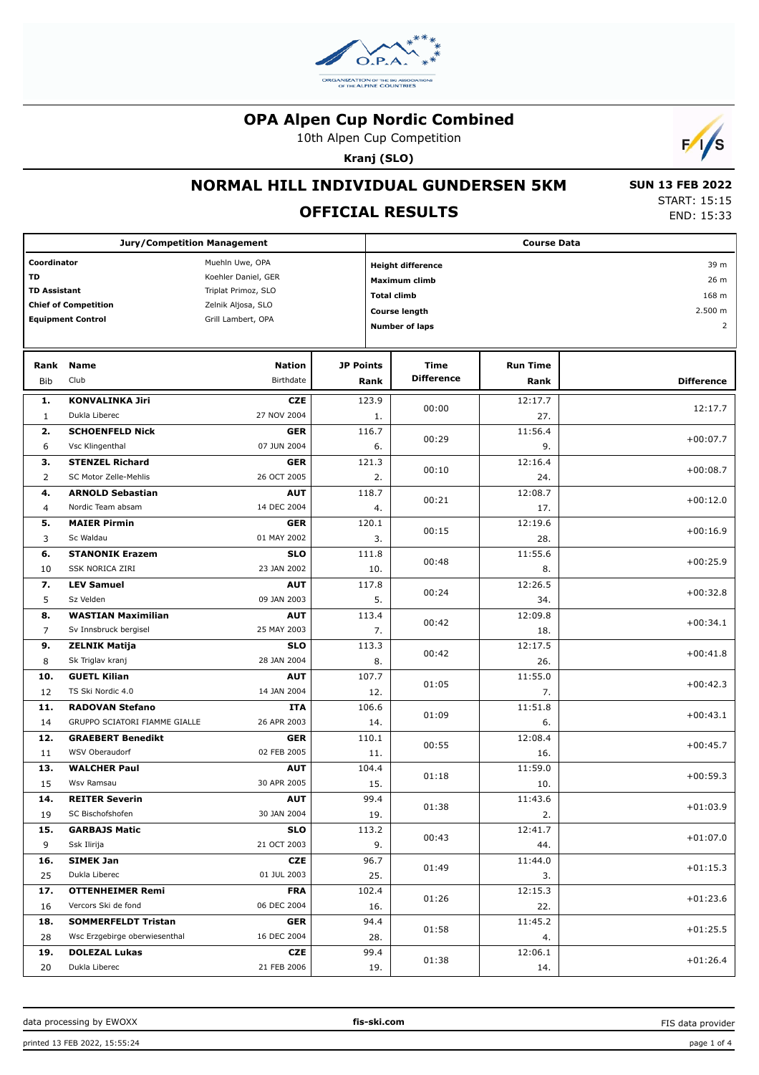

10th Alpen Cup Competition

**Kranj (SLO)**



#### **NORMAL HILL INDIVIDUAL GUNDERSEN 5KM**

## **OFFICIAL RESULTS**

 **SUN 13 FEB 2022** START: 15:15 END: 15:33

| <b>Jury/Competition Management</b>         |                               |                    |                  | <b>Course Data</b>       |                 |                   |  |  |
|--------------------------------------------|-------------------------------|--------------------|------------------|--------------------------|-----------------|-------------------|--|--|
| Coordinator<br>Muehln Uwe, OPA             |                               |                    |                  | <b>Height difference</b> |                 |                   |  |  |
| TD<br>Koehler Daniel, GER                  |                               |                    |                  | Maximum climb            |                 |                   |  |  |
| <b>TD Assistant</b><br>Triplat Primoz, SLO |                               |                    |                  | <b>Total climb</b>       |                 |                   |  |  |
|                                            | <b>Chief of Competition</b>   | Zelnik Aljosa, SLO |                  | <b>Course length</b>     |                 | 2.500 m           |  |  |
|                                            | <b>Equipment Control</b>      | Grill Lambert, OPA |                  | <b>Number of laps</b>    |                 | $\overline{2}$    |  |  |
|                                            |                               |                    |                  |                          |                 |                   |  |  |
| Rank                                       | <b>Name</b>                   | <b>Nation</b>      | <b>JP Points</b> | Time                     | <b>Run Time</b> |                   |  |  |
| Bib                                        | Club                          | Birthdate          | Rank             | <b>Difference</b>        | Rank            | <b>Difference</b> |  |  |
| 1.                                         | <b>KONVALINKA Jiri</b>        | <b>CZE</b>         | 123.9            | 00:00                    | 12:17.7         |                   |  |  |
| $\mathbf{1}$                               | Dukla Liberec                 | 27 NOV 2004        | 1.               |                          | 27.             | 12:17.7           |  |  |
| 2.                                         | <b>SCHOENFELD Nick</b>        | <b>GER</b>         | 116.7            | 00:29                    | 11:56.4         | $+00:07.7$        |  |  |
| 6                                          | Vsc Klingenthal               | 07 JUN 2004        | 6.               |                          | 9.              |                   |  |  |
| з.                                         | <b>STENZEL Richard</b>        | <b>GER</b>         | 121.3            | 00:10                    | 12:16.4         | $+00:08.7$        |  |  |
| $\overline{2}$                             | SC Motor Zelle-Mehlis         | 26 OCT 2005        | 2.               |                          | 24.             |                   |  |  |
| 4.                                         | <b>ARNOLD Sebastian</b>       | <b>AUT</b>         | 118.7            | 00:21                    | 12:08.7         | $+00:12.0$        |  |  |
| 4                                          | Nordic Team absam             | 14 DEC 2004        | 4.               |                          | 17.             |                   |  |  |
| 5.                                         | <b>MAIER Pirmin</b>           | <b>GER</b>         | 120.1            | 00:15                    | 12:19.6         | $+00:16.9$        |  |  |
| 3                                          | Sc Waldau                     | 01 MAY 2002        | 3.               |                          | 28.             |                   |  |  |
| 6.                                         | <b>STANONIK Erazem</b>        | <b>SLO</b>         | 111.8            | 00:48                    | 11:55.6         |                   |  |  |
| 10                                         | SSK NORICA ZIRI               | 23 JAN 2002        | 10.              |                          | 8.              | $+00:25.9$        |  |  |
| 7.                                         | <b>LEV Samuel</b>             | <b>AUT</b>         | 117.8            |                          | 12:26.5         | $+00:32.8$        |  |  |
| 5                                          | Sz Velden                     | 09 JAN 2003        | 5.               | 00:24                    | 34.             |                   |  |  |
| 8.                                         | <b>WASTIAN Maximilian</b>     | <b>AUT</b>         | 113.4            |                          | 12:09.8         |                   |  |  |
| 7                                          | Sv Innsbruck bergisel         | 25 MAY 2003        | 7.               | 00:42                    | 18.             | $+00:34.1$        |  |  |
| 9.                                         | <b>ZELNIK Matija</b>          | <b>SLO</b>         | 113.3            |                          | 12:17.5         |                   |  |  |
| 8                                          | Sk Triglav kranj              | 28 JAN 2004        | 8.               | 00:42                    | 26.             | $+00:41.8$        |  |  |
| 10.                                        | <b>GUETL Kilian</b>           | <b>AUT</b>         | 107.7            | 01:05                    | 11:55.0         | $+00:42.3$        |  |  |
| 12                                         | TS Ski Nordic 4.0             | 14 JAN 2004        | 12.              |                          | 7.              |                   |  |  |
| 11.                                        | <b>RADOVAN Stefano</b>        | <b>ITA</b>         | 106.6            | 01:09                    | 11:51.8         | $+00:43.1$        |  |  |
| 14                                         | GRUPPO SCIATORI FIAMME GIALLE | 26 APR 2003        | 14.              |                          | 6.              |                   |  |  |
| 12.                                        | <b>GRAEBERT Benedikt</b>      | <b>GER</b>         | 110.1            | 00:55                    | 12:08.4         | $+00:45.7$        |  |  |
| 11                                         | WSV Oberaudorf                | 02 FEB 2005        | 11.              |                          | 16.             |                   |  |  |
| 13.                                        | <b>WALCHER Paul</b>           | <b>AUT</b>         | 104.4            |                          | 11:59.0         | $+00:59.3$        |  |  |
| 15                                         | Wsv Ramsau                    | 30 APR 2005        | 15.              | 01:18                    | 10.             |                   |  |  |
| 14.                                        | <b>REITER Severin</b>         | <b>AUT</b>         | 99.4             |                          | 11:43.6         |                   |  |  |
| 19                                         | SC Bischofshofen              | 30 JAN 2004        | 19.              | 01:38                    | 2.              | $+01:03.9$        |  |  |
| 15.                                        | <b>GARBAJS Matic</b>          | <b>SLO</b>         | 113.2            |                          | 12:41.7         |                   |  |  |
| 9                                          | Ssk Ilirija                   | 21 OCT 2003        | 9.               | 00:43                    | 44.             | $+01:07.0$        |  |  |
| 16.                                        | <b>SIMEK Jan</b>              | <b>CZE</b>         | 96.7             |                          | 11:44.0         |                   |  |  |
| 25                                         | Dukla Liberec                 | 01 JUL 2003        | 25.              | 01:49                    | 3.              | $+01:15.3$        |  |  |
| 17.                                        | <b>OTTENHEIMER Remi</b>       | <b>FRA</b>         | 102.4            | 01:26                    | 12:15.3         | $+01:23.6$        |  |  |
| 16                                         | Vercors Ski de fond           | 06 DEC 2004        | 16.              |                          | 22.             |                   |  |  |
| 18.                                        | <b>SOMMERFELDT Tristan</b>    | <b>GER</b>         | 94.4             | 01:58                    | 11:45.2         | $+01:25.5$        |  |  |
| 28                                         | Wsc Erzgebirge oberwiesenthal | 16 DEC 2004        | 28.              |                          | 4.              |                   |  |  |
| 19.                                        | <b>DOLEZAL Lukas</b>          | <b>CZE</b>         | 99.4             | 01:38                    | 12:06.1         | $+01:26.4$        |  |  |
| 20                                         | Dukla Liberec                 | 21 FEB 2006        | 19.              |                          | 14.             |                   |  |  |

FIS data provider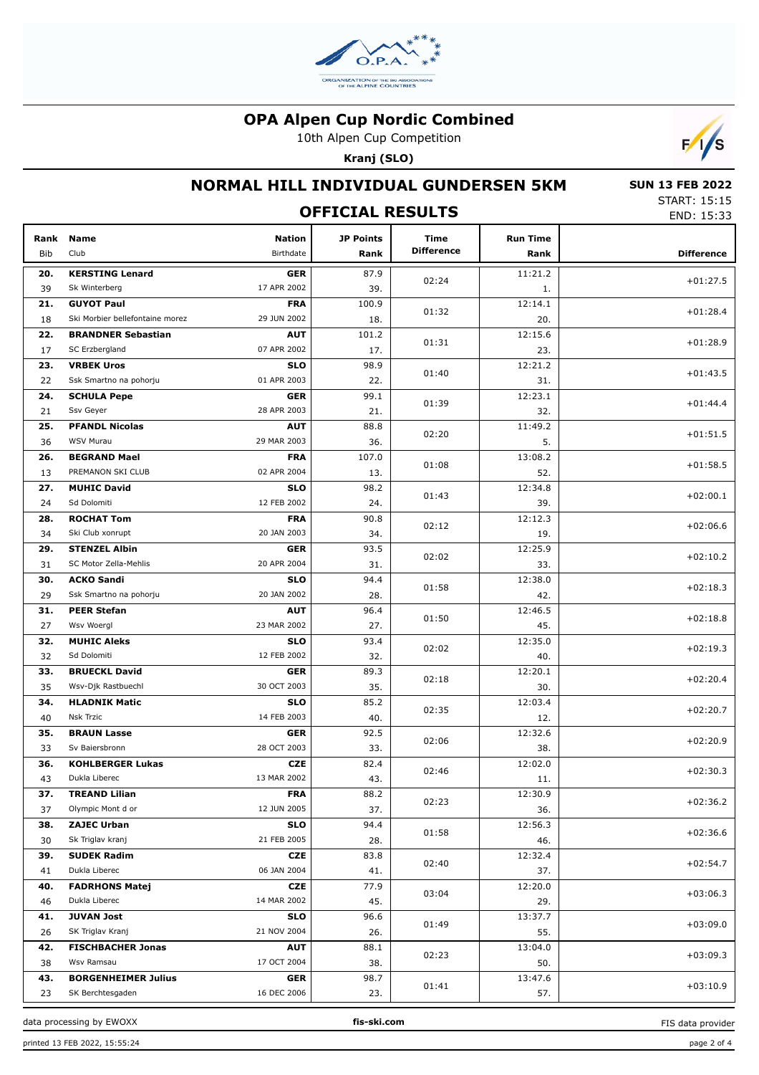

10th Alpen Cup Competition

**Kranj (SLO)**



### **NORMAL HILL INDIVIDUAL GUNDERSEN 5KM**

 **SUN 13 FEB 2022** START: 15:15 END: 15:33

|             | JIANI. 1J.1J<br>END: 15:33      |                            |                          |                           |                         |                   |
|-------------|---------------------------------|----------------------------|--------------------------|---------------------------|-------------------------|-------------------|
| Rank<br>Bib | <b>Name</b><br>Club             | <b>Nation</b><br>Birthdate | <b>JP Points</b><br>Rank | Time<br><b>Difference</b> | <b>Run Time</b><br>Rank | <b>Difference</b> |
| 20.         | <b>KERSTING Lenard</b>          | <b>GER</b>                 | 87.9                     | 02:24                     | 11:21.2                 | $+01:27.5$        |
| 39          | Sk Winterberg                   | 17 APR 2002                | 39.                      |                           | 1.                      |                   |
| 21.         | <b>GUYOT Paul</b>               | <b>FRA</b>                 | 100.9                    |                           | 12:14.1                 |                   |
| 18          | Ski Morbier bellefontaine morez | 29 JUN 2002                | 18.                      | 01:32                     | 20.                     | $+01:28.4$        |
| 22.         | <b>BRANDNER Sebastian</b>       | <b>AUT</b>                 | 101.2                    |                           | 12:15.6                 |                   |
| 17          | SC Erzbergland                  | 07 APR 2002                | 17.                      | 01:31                     | 23.                     | $+01:28.9$        |
| 23.         | <b>VRBEK Uros</b>               | <b>SLO</b>                 | 98.9                     |                           | 12:21.2                 |                   |
| 22          | Ssk Smartno na pohorju          | 01 APR 2003                | 22.                      | 01:40                     | 31.                     | $+01:43.5$        |
| 24.         | <b>SCHULA Pepe</b>              | <b>GER</b>                 | 99.1                     |                           | 12:23.1                 |                   |
| 21          | Ssv Geyer                       | 28 APR 2003                | 21.                      | 01:39                     | 32.                     | $+01:44.4$        |
| 25.         | <b>PFANDL Nicolas</b>           | <b>AUT</b>                 | 88.8                     |                           | 11:49.2                 |                   |
| 36          | <b>WSV Murau</b>                | 29 MAR 2003                | 36.                      | 02:20                     | 5.                      | $+01:51.5$        |
| 26.         | <b>BEGRAND Mael</b>             | <b>FRA</b>                 | 107.0                    |                           | 13:08.2                 |                   |
| 13          | PREMANON SKI CLUB               | 02 APR 2004                | 13.                      | 01:08                     | 52.                     | $+01:58.5$        |
| 27.         | <b>MUHIC David</b>              | <b>SLO</b>                 | 98.2                     |                           | 12:34.8                 |                   |
| 24          | Sd Dolomiti                     | 12 FEB 2002                | 24.                      | 01:43                     | 39.                     | $+02:00.1$        |
| 28.         | <b>ROCHAT Tom</b>               | <b>FRA</b>                 | 90.8                     |                           | 12:12.3                 |                   |
| 34          | Ski Club xonrupt                | 20 JAN 2003                | 34.                      | 02:12                     | 19.                     | $+02:06.6$        |
| 29.         | <b>STENZEL Albin</b>            | <b>GER</b>                 | 93.5                     |                           | 12:25.9                 |                   |
| 31          | SC Motor Zella-Mehlis           | 20 APR 2004                | 31.                      | 02:02                     | 33.                     | $+02:10.2$        |
| 30.         | <b>ACKO Sandi</b>               | <b>SLO</b>                 | 94.4                     |                           | 12:38.0                 |                   |
| 29          | Ssk Smartno na pohorju          | 20 JAN 2002                | 28.                      | 01:58                     | 42.                     | $+02:18.3$        |
| 31.         | <b>PEER Stefan</b>              | <b>AUT</b>                 | 96.4                     |                           | 12:46.5                 |                   |
| 27          | Wsv Woergl                      | 23 MAR 2002                | 27.                      | 01:50                     | 45.                     | $+02:18.8$        |
| 32.         | <b>MUHIC Aleks</b>              | <b>SLO</b>                 | 93.4                     |                           | 12:35.0                 |                   |
| 32          | Sd Dolomiti                     | 12 FEB 2002                | 32.                      | 02:02                     | 40.                     | $+02:19.3$        |
| 33.         | <b>BRUECKL David</b>            | <b>GER</b>                 | 89.3                     |                           | 12:20.1                 |                   |
| 35          | Wsv-Djk Rastbuechl              | 30 OCT 2003                | 35.                      | 02:18                     | 30.                     | $+02:20.4$        |
| 34.         | <b>HLADNIK Matic</b>            | <b>SLO</b>                 | 85.2                     |                           | 12:03.4                 |                   |
| 40          | <b>Nsk Trzic</b>                | 14 FEB 2003                | 40.                      | 02:35                     | 12.                     | $+02:20.7$        |
| 35.         | <b>BRAUN Lasse</b>              | <b>GER</b>                 | 92.5                     |                           | 12:32.6                 |                   |
| 33          | Sv Baiersbronn                  | 28 OCT 2003                | 33.                      | 02:06                     | 38.                     | $+02:20.9$        |
| 36.         | <b>KOHLBERGER Lukas</b>         | <b>CZE</b>                 | 82.4                     |                           | 12:02.0                 |                   |
| 43          | Dukla Liberec                   | 13 MAR 2002                | 43.                      | 02:46                     | 11.                     | $+02:30.3$        |
| 37.         | <b>TREAND Lilian</b>            | <b>FRA</b>                 | 88.2                     |                           | 12:30.9                 |                   |
| 37          | Olympic Mont d or               | 12 JUN 2005                | 37.                      | 02:23                     | 36.                     | $+02:36.2$        |
| 38.         | <b>ZAJEC Urban</b>              | <b>SLO</b>                 | 94.4                     |                           | 12:56.3                 |                   |
| 30          | Sk Triglav kranj                | 21 FEB 2005                | 28.                      | 01:58                     | 46.                     | $+02:36.6$        |
| 39.         | <b>SUDEK Radim</b>              | CZE                        | 83.8                     |                           | 12:32.4                 |                   |
| 41          | Dukla Liberec                   | 06 JAN 2004                | 41.                      | 02:40                     | 37.                     | $+02:54.7$        |
| 40.         | <b>FADRHONS Matej</b>           | <b>CZE</b>                 | 77.9                     |                           | 12:20.0                 |                   |
| 46          | Dukla Liberec                   | 14 MAR 2002                | 45.                      | 03:04                     | 29.                     | $+03:06.3$        |
| 41.         | <b>JUVAN Jost</b>               | <b>SLO</b>                 | 96.6                     |                           | 13:37.7                 |                   |
| 26          | SK Triglav Kranj                | 21 NOV 2004                | 26.                      | 01:49                     | 55.                     | $+03:09.0$        |
| 42.         | <b>FISCHBACHER Jonas</b>        | <b>AUT</b>                 | 88.1                     |                           | 13:04.0                 |                   |
| 38          | Wsv Ramsau                      | 17 OCT 2004                | 38.                      | 02:23                     | 50.                     | $+03:09.3$        |
| 43.         | <b>BORGENHEIMER Julius</b>      | <b>GER</b>                 | 98.7                     |                           | 13:47.6                 |                   |
| 23          | SK Berchtesgaden                | 16 DEC 2006                | 23.                      | 01:41                     | 57.                     | $+03:10.9$        |
|             |                                 |                            |                          |                           |                         |                   |

data processing by EWOXX **fis-ski.com**

FIS data provider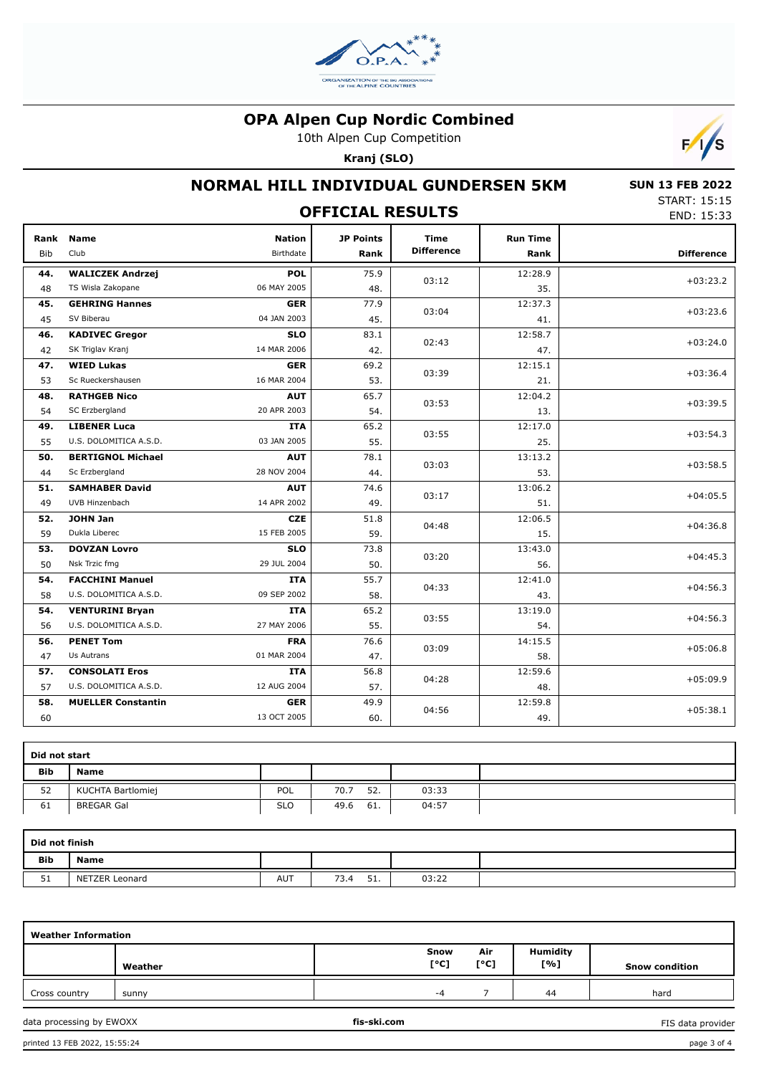

10th Alpen Cup Competition

**Kranj (SLO)**



# **NORMAL HILL INDIVIDUAL GUNDERSEN 5KM**

 **SUN 13 FEB 2022** START: 15:15 END: 15:33

|                    | END: 15:33                |                            |                          |                                  |                         |                   |
|--------------------|---------------------------|----------------------------|--------------------------|----------------------------------|-------------------------|-------------------|
| Rank<br><b>Bib</b> | <b>Name</b><br>Club       | <b>Nation</b><br>Birthdate | <b>JP Points</b><br>Rank | <b>Time</b><br><b>Difference</b> | <b>Run Time</b><br>Rank | <b>Difference</b> |
| 44.                | <b>WALICZEK Andrzej</b>   | <b>POL</b>                 | 75.9                     |                                  | 12:28.9                 |                   |
| 48                 | TS Wisla Zakopane         | 06 MAY 2005                | 48.                      | 03:12                            | 35.                     | $+03:23.2$        |
| 45.                | <b>GEHRING Hannes</b>     | <b>GER</b>                 | 77.9                     | 03:04                            | 12:37.3                 | $+03:23.6$        |
| 45                 | SV Biberau                | 04 JAN 2003                | 45.                      |                                  | 41.                     |                   |
| 46.                | <b>KADIVEC Gregor</b>     | <b>SLO</b>                 | 83.1                     | 02:43                            | 12:58.7                 | $+03:24.0$        |
| 42                 | SK Triglav Kranj          | 14 MAR 2006                | 42.                      |                                  | 47.                     |                   |
| 47.                | <b>WIED Lukas</b>         | <b>GER</b>                 | 69.2                     | 03:39                            | 12:15.1                 | $+03:36.4$        |
| 53                 | Sc Rueckershausen         | 16 MAR 2004                | 53.                      |                                  | 21.                     |                   |
| 48.                | <b>RATHGEB Nico</b>       | <b>AUT</b>                 | 65.7                     | 03:53                            | 12:04.2                 | $+03:39.5$        |
| 54                 | SC Erzbergland            | 20 APR 2003                | 54.                      |                                  | 13.                     |                   |
| 49.                | <b>LIBENER Luca</b>       | <b>ITA</b>                 | 65.2                     | 03:55                            | 12:17.0                 | $+03:54.3$        |
| 55                 | U.S. DOLOMITICA A.S.D.    | 03 JAN 2005                | 55.                      |                                  | 25.                     |                   |
| 50.                | <b>BERTIGNOL Michael</b>  | <b>AUT</b>                 | 78.1                     | 03:03                            | 13:13.2                 | $+03:58.5$        |
| 44                 | Sc Erzbergland            | 28 NOV 2004                | 44.                      |                                  | 53.                     |                   |
| 51.                | <b>SAMHABER David</b>     | <b>AUT</b>                 | 74.6                     | 03:17                            | 13:06.2                 | $+04:05.5$        |
| 49                 | UVB Hinzenbach            | 14 APR 2002                | 49.                      |                                  | 51.                     |                   |
| 52.                | <b>JOHN Jan</b>           | <b>CZE</b>                 | 51.8                     | 04:48                            | 12:06.5                 | $+04:36.8$        |
| 59                 | Dukla Liberec             | 15 FEB 2005                | 59.                      |                                  | 15.                     |                   |
| 53.                | <b>DOVZAN Lovro</b>       | <b>SLO</b>                 | 73.8                     | 03:20                            | 13:43.0                 | $+04:45.3$        |
| 50                 | Nsk Trzic fmg             | 29 JUL 2004                | 50.                      |                                  | 56.                     |                   |
| 54.                | <b>FACCHINI Manuel</b>    | <b>ITA</b>                 | 55.7                     | 04:33                            | 12:41.0                 | $+04:56.3$        |
| 58                 | U.S. DOLOMITICA A.S.D.    | 09 SEP 2002                | 58.                      |                                  | 43.                     |                   |
| 54.                | <b>VENTURINI Bryan</b>    | <b>ITA</b>                 | 65.2                     | 03:55                            | 13:19.0                 | $+04:56.3$        |
| 56                 | U.S. DOLOMITICA A.S.D.    | 27 MAY 2006                | 55.                      |                                  | 54.                     |                   |
| 56.                | <b>PENET Tom</b>          | <b>FRA</b>                 | 76.6                     | 03:09                            | 14:15.5                 | $+05:06.8$        |
| 47                 | Us Autrans                | 01 MAR 2004                | 47.                      |                                  | 58.                     |                   |
| 57.                | <b>CONSOLATI Eros</b>     | <b>ITA</b>                 | 56.8                     | 04:28                            | 12:59.6                 | $+05:09.9$        |
| 57                 | U.S. DOLOMITICA A.S.D.    | 12 AUG 2004                | 57.                      |                                  | 48.                     |                   |
| 58.                | <b>MUELLER Constantin</b> | <b>GER</b>                 | 49.9                     | 04:56                            | 12:59.8                 | $+05:38.1$        |
| 60                 |                           | 13 OCT 2005                | 60.                      |                                  | 49.                     |                   |

| Did not start |                   |            |             |       |  |  |
|---------------|-------------------|------------|-------------|-------|--|--|
| <b>Bib</b>    | <b>Name</b>       |            |             |       |  |  |
| 52            | KUCHTA Bartlomiej | <b>POL</b> | 52.<br>70.7 | 03:33 |  |  |
| 61            | <b>BREGAR Gal</b> | <b>SLO</b> | 61.<br>49.6 | 04:57 |  |  |

| Did not finish |                |     |                    |       |  |  |
|----------------|----------------|-----|--------------------|-------|--|--|
| <b>Bib</b>     | <b>Name</b>    |     |                    |       |  |  |
| m a<br>эı      | NETZER Leonard | AUT | 51<br>73.4<br>. ۲. | 03:22 |  |  |

| <b>Weather Information</b> |         |             |              |             |                 |                       |
|----------------------------|---------|-------------|--------------|-------------|-----------------|-----------------------|
|                            | Weather |             | Snow<br>[°C] | Air<br>[°C] | Humidity<br>[%] | <b>Snow condition</b> |
| Cross country              | sunny   |             | -4           |             | 44              | hard                  |
| data processing by EWOXX   |         | fis-ski.com |              |             |                 | FIS data provider     |